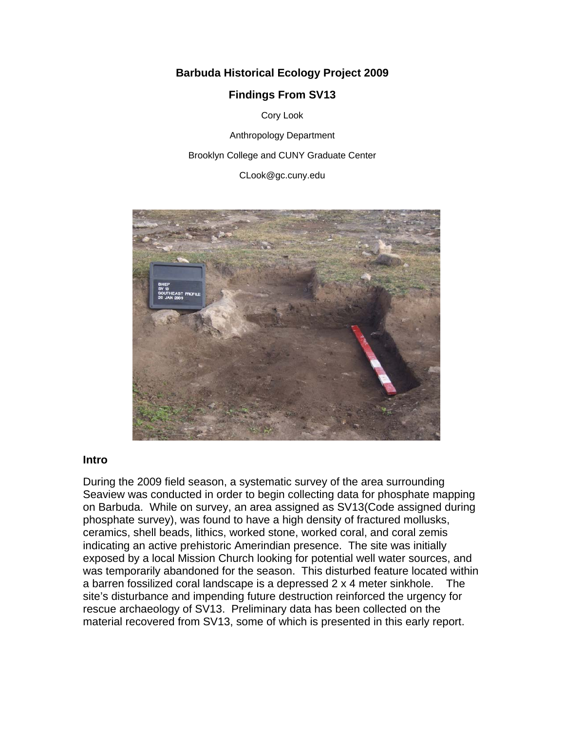# **Barbuda Historical Ecology Project 2009**

## **Findings From SV13**

Cory Look

Anthropology Department

Brooklyn College and CUNY Graduate Center

CLook@gc.cuny.edu



#### **Intro**

During the 2009 field season, a systematic survey of the area surrounding Seaview was conducted in order to begin collecting data for phosphate mapping on Barbuda. While on survey, an area assigned as SV13(Code assigned during phosphate survey), was found to have a high density of fractured mollusks, ceramics, shell beads, lithics, worked stone, worked coral, and coral zemis indicating an active prehistoric Amerindian presence. The site was initially exposed by a local Mission Church looking for potential well water sources, and was temporarily abandoned for the season. This disturbed feature located within a barren fossilized coral landscape is a depressed 2 x 4 meter sinkhole. The site's disturbance and impending future destruction reinforced the urgency for rescue archaeology of SV13. Preliminary data has been collected on the material recovered from SV13, some of which is presented in this early report.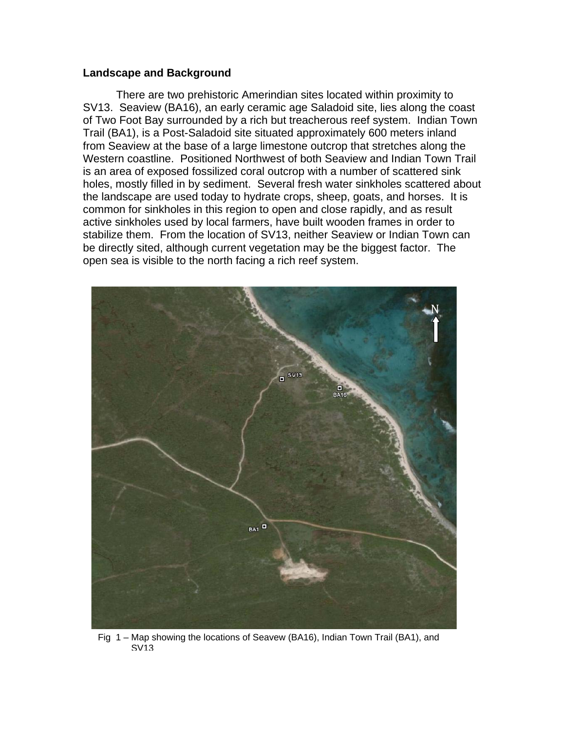#### **Landscape and Background**

 There are two prehistoric Amerindian sites located within proximity to SV13. Seaview (BA16), an early ceramic age Saladoid site, lies along the coast of Two Foot Bay surrounded by a rich but treacherous reef system. Indian Town Trail (BA1), is a Post-Saladoid site situated approximately 600 meters inland from Seaview at the base of a large limestone outcrop that stretches along the Western coastline. Positioned Northwest of both Seaview and Indian Town Trail is an area of exposed fossilized coral outcrop with a number of scattered sink holes, mostly filled in by sediment. Several fresh water sinkholes scattered about the landscape are used today to hydrate crops, sheep, goats, and horses. It is common for sinkholes in this region to open and close rapidly, and as result active sinkholes used by local farmers, have built wooden frames in order to stabilize them. From the location of SV13, neither Seaview or Indian Town can be directly sited, although current vegetation may be the biggest factor. The open sea is visible to the north facing a rich reef system.



Fig 1 – Map showing the locations of Seavew (BA16), Indian Town Trail (BA1), and SV13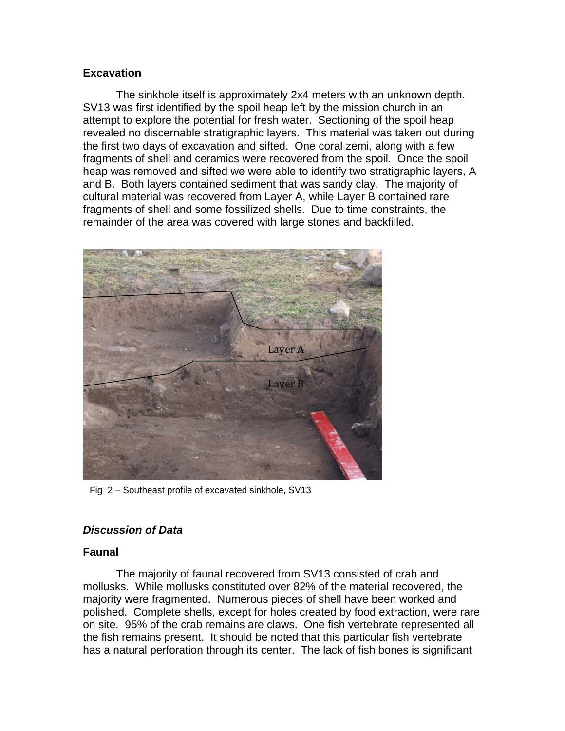### **Excavation**

 The sinkhole itself is approximately 2x4 meters with an unknown depth. SV13 was first identified by the spoil heap left by the mission church in an attempt to explore the potential for fresh water. Sectioning of the spoil heap revealed no discernable stratigraphic layers. This material was taken out during the first two days of excavation and sifted. One coral zemi, along with a few fragments of shell and ceramics were recovered from the spoil. Once the spoil heap was removed and sifted we were able to identify two stratigraphic layers, A and B. Both layers contained sediment that was sandy clay. The majority of cultural material was recovered from Layer A, while Layer B contained rare fragments of shell and some fossilized shells. Due to time constraints, the remainder of the area was covered with large stones and backfilled.



Fig 2 – Southeast profile of excavated sinkhole, SV13

### *Discussion of Data*

#### **Faunal**

 The majority of faunal recovered from SV13 consisted of crab and mollusks. While mollusks constituted over 82% of the material recovered, the majority were fragmented. Numerous pieces of shell have been worked and polished. Complete shells, except for holes created by food extraction, were rare on site. 95% of the crab remains are claws. One fish vertebrate represented all the fish remains present. It should be noted that this particular fish vertebrate has a natural perforation through its center. The lack of fish bones is significant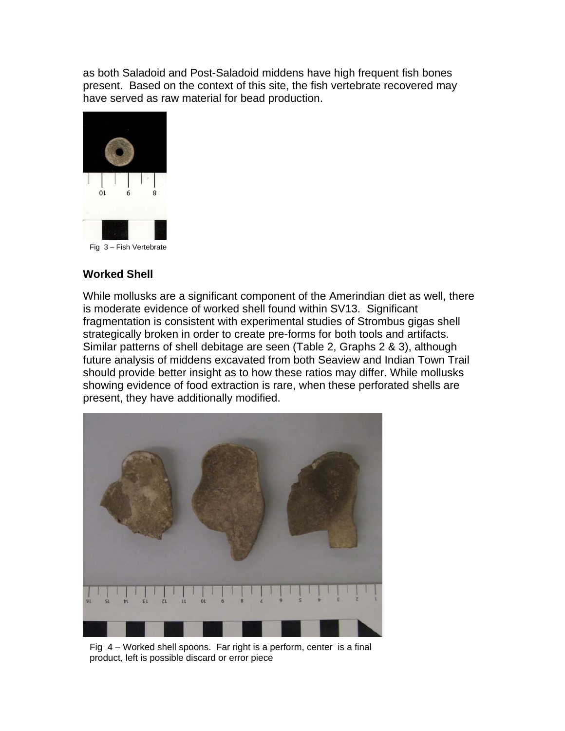as both Saladoid and Post-Saladoid middens have high frequent fish bones present. Based on the context of this site, the fish vertebrate recovered may have served as raw material for bead production.



Fig 3 – Fish Vertebrate

### **Worked Shell**

While mollusks are a significant component of the Amerindian diet as well, there is moderate evidence of worked shell found within SV13. Significant fragmentation is consistent with experimental studies of Strombus gigas shell strategically broken in order to create pre-forms for both tools and artifacts. Similar patterns of shell debitage are seen (Table 2, Graphs 2 & 3), although future analysis of middens excavated from both Seaview and Indian Town Trail should provide better insight as to how these ratios may differ. While mollusks showing evidence of food extraction is rare, when these perforated shells are present, they have additionally modified.



Fig 4 – Worked shell spoons. Far right is a perform, center is a final product, left is possible discard or error piece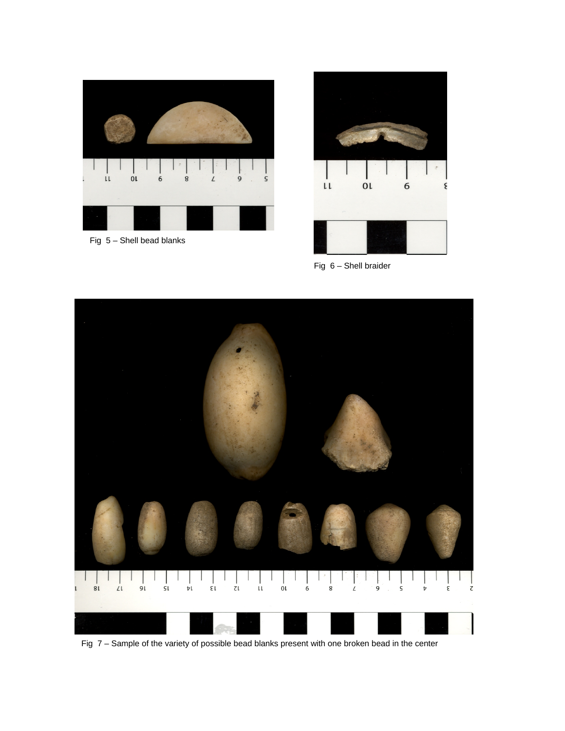

Fig 5 – Shell bead blanks



Fig 6 – Shell braider



Fig 7 – Sample of the variety of possible bead blanks present with one broken bead in the center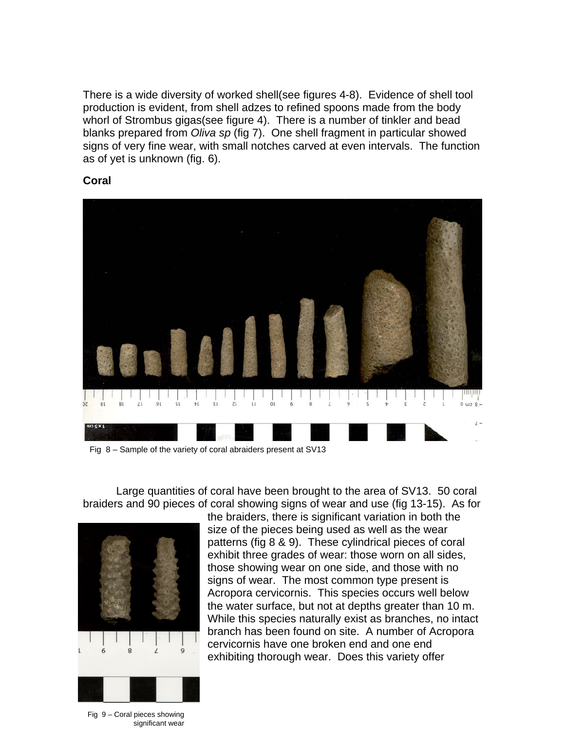There is a wide diversity of worked shell(see figures 4-8). Evidence of shell tool production is evident, from shell adzes to refined spoons made from the body whorl of Strombus gigas(see figure 4). There is a number of tinkler and bead blanks prepared from *Oliva sp* (fig 7). One shell fragment in particular showed signs of very fine wear, with small notches carved at even intervals. The function as of yet is unknown (fig. 6).





Fig 8 – Sample of the variety of coral abraiders present at SV13

Large quantities of coral have been brought to the area of SV13. 50 coral braiders and 90 pieces of coral showing signs of wear and use (fig 13-15). As for



the braiders, there is significant variation in both the size of the pieces being used as well as the wear patterns (fig 8 & 9). These cylindrical pieces of coral exhibit three grades of wear: those worn on all sides, those showing wear on one side, and those with no signs of wear. The most common type present is Acropora cervicornis. This species occurs well below the water surface, but not at depths greater than 10 m. While this species naturally exist as branches, no intact branch has been found on site. A number of Acropora cervicornis have one broken end and one end exhibiting thorough wear. Does this variety offer

Fig 9 – Coral pieces showing significant wear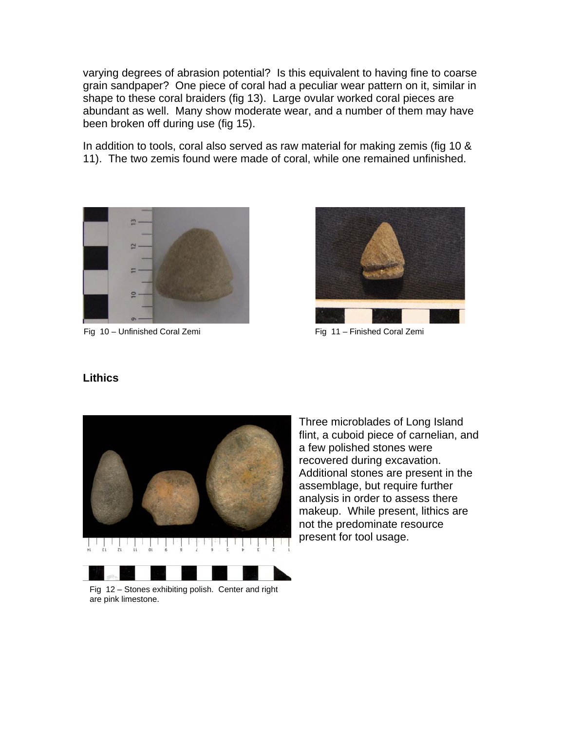varying degrees of abrasion potential? Is this equivalent to having fine to coarse grain sandpaper? One piece of coral had a peculiar wear pattern on it, similar in shape to these coral braiders (fig 13). Large ovular worked coral pieces are abundant as well. Many show moderate wear, and a number of them may have been broken off during use (fig 15).

In addition to tools, coral also served as raw material for making zemis (fig 10 & 11). The two zemis found were made of coral, while one remained unfinished.



Fig 10 – Unfinished Coral Zemi **Fig 11** – Finished Coral Zemi



#### **Lithics**



Three microblades of Long Island flint, a cuboid piece of carnelian, and a few polished stones were recovered during excavation. Additional stones are present in the assemblage, but require further analysis in order to assess there makeup. While present, lithics are not the predominate resource present for tool usage.

Fig 12 – Stones exhibiting polish. Center and right are pink limestone.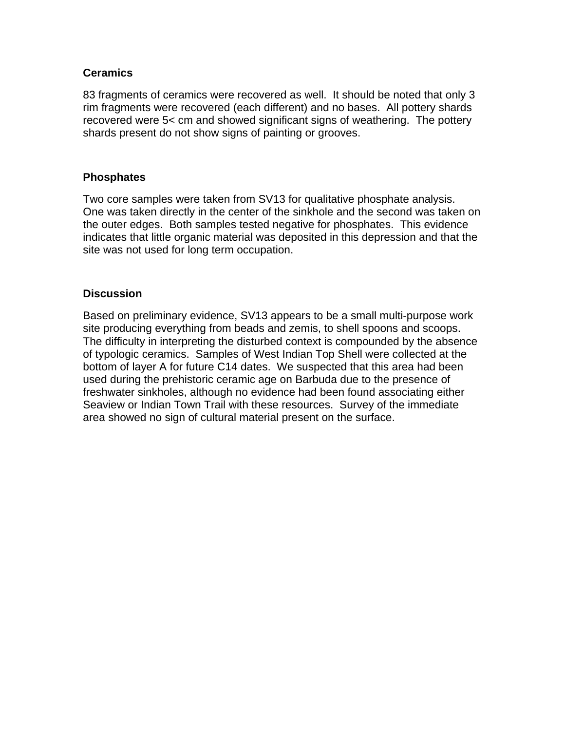### **Ceramics**

83 fragments of ceramics were recovered as well. It should be noted that only 3 rim fragments were recovered (each different) and no bases. All pottery shards recovered were 5< cm and showed significant signs of weathering. The pottery shards present do not show signs of painting or grooves.

### **Phosphates**

Two core samples were taken from SV13 for qualitative phosphate analysis. One was taken directly in the center of the sinkhole and the second was taken on the outer edges. Both samples tested negative for phosphates. This evidence indicates that little organic material was deposited in this depression and that the site was not used for long term occupation.

# **Discussion**

Based on preliminary evidence, SV13 appears to be a small multi-purpose work site producing everything from beads and zemis, to shell spoons and scoops. The difficulty in interpreting the disturbed context is compounded by the absence of typologic ceramics. Samples of West Indian Top Shell were collected at the bottom of layer A for future C14 dates. We suspected that this area had been used during the prehistoric ceramic age on Barbuda due to the presence of freshwater sinkholes, although no evidence had been found associating either Seaview or Indian Town Trail with these resources. Survey of the immediate area showed no sign of cultural material present on the surface.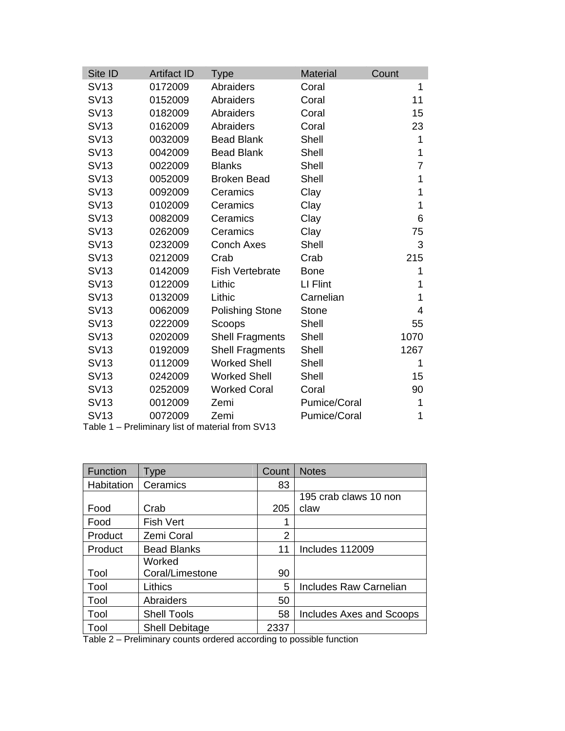| <b>Artifact ID</b> | <b>Type</b>            | <b>Material</b>     | Count |
|--------------------|------------------------|---------------------|-------|
| 0172009            | Abraiders              | Coral               | 1     |
| 0152009            | Abraiders              | Coral               | 11    |
| 0182009            | Abraiders              | Coral               | 15    |
| 0162009            | Abraiders              | Coral               | 23    |
| 0032009            | <b>Bead Blank</b>      | Shell               | 1     |
| 0042009            | <b>Bead Blank</b>      | Shell               | 1     |
| 0022009            | <b>Blanks</b>          | Shell               | 7     |
| 0052009            | <b>Broken Bead</b>     | Shell               | 1     |
| 0092009            | Ceramics               | Clay                | 1     |
| 0102009            | Ceramics               | Clay                | 1     |
| 0082009            | Ceramics               | Clay                | 6     |
| 0262009            | Ceramics               | Clay                | 75    |
| 0232009            | <b>Conch Axes</b>      | Shell               | 3     |
| 0212009            | Crab                   | Crab                | 215   |
| 0142009            | <b>Fish Vertebrate</b> | <b>Bone</b>         | 1     |
| 0122009            | Lithic                 | LI Flint            | 1     |
| 0132009            | Lithic                 | Carnelian           | 1     |
| 0062009            | <b>Polishing Stone</b> | <b>Stone</b>        | 4     |
| 0222009            | Scoops                 | Shell               | 55    |
| 0202009            | <b>Shell Fragments</b> | Shell               | 1070  |
| 0192009            | <b>Shell Fragments</b> | Shell               | 1267  |
| 0112009            | <b>Worked Shell</b>    | Shell               | 1     |
| 0242009            | <b>Worked Shell</b>    | Shell               | 15    |
| 0252009            | <b>Worked Coral</b>    | Coral               | 90    |
| 0012009            | Zemi                   | Pumice/Coral        | 1     |
| 0072009            | Zemi                   | <b>Pumice/Coral</b> | 1     |
|                    |                        |                     |       |

|  | Table 1 - Preliminary list of material from SV13 |
|--|--------------------------------------------------|
|--|--------------------------------------------------|

| <b>Function</b> | Type                  | Count          | <b>Notes</b>             |
|-----------------|-----------------------|----------------|--------------------------|
| Habitation      | Ceramics              | 83             |                          |
|                 |                       |                | 195 crab claws 10 non    |
| Food            | Crab                  | 205            | claw                     |
| Food            | <b>Fish Vert</b>      | 1              |                          |
| Product         | Zemi Coral            | $\overline{2}$ |                          |
| Product         | <b>Bead Blanks</b>    | 11             | Includes 112009          |
|                 | Worked                |                |                          |
| Tool            | Coral/Limestone       | 90             |                          |
| Tool            | Lithics               | 5              | Includes Raw Carnelian   |
| Tool            | Abraiders             | 50             |                          |
| Tool            | <b>Shell Tools</b>    | 58             | Includes Axes and Scoops |
| Tool            | <b>Shell Debitage</b> | 2337           |                          |

Table 2 – Preliminary counts ordered according to possible function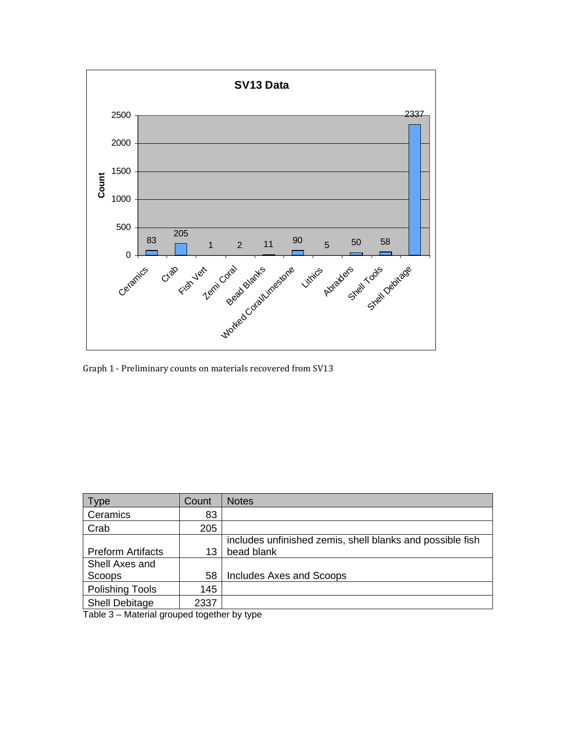

Graph 1 ‐ Preliminary counts on materials recovered from SV13

| Type                                                        | Count | <b>Notes</b>                                              |  |  |
|-------------------------------------------------------------|-------|-----------------------------------------------------------|--|--|
| Ceramics                                                    | 83    |                                                           |  |  |
| Crab                                                        | 205   |                                                           |  |  |
|                                                             |       | includes unfinished zemis, shell blanks and possible fish |  |  |
| <b>Preform Artifacts</b>                                    | 13    | bead blank                                                |  |  |
| Shell Axes and                                              |       |                                                           |  |  |
| Scoops                                                      | 58    | Includes Axes and Scoops                                  |  |  |
| <b>Polishing Tools</b>                                      | 145   |                                                           |  |  |
| <b>Shell Debitage</b>                                       | 2337  |                                                           |  |  |
| $T_{\alpha}$ kla $\Omega$ Matarial secureal together but we |       |                                                           |  |  |

Table 3 – Material grouped together by type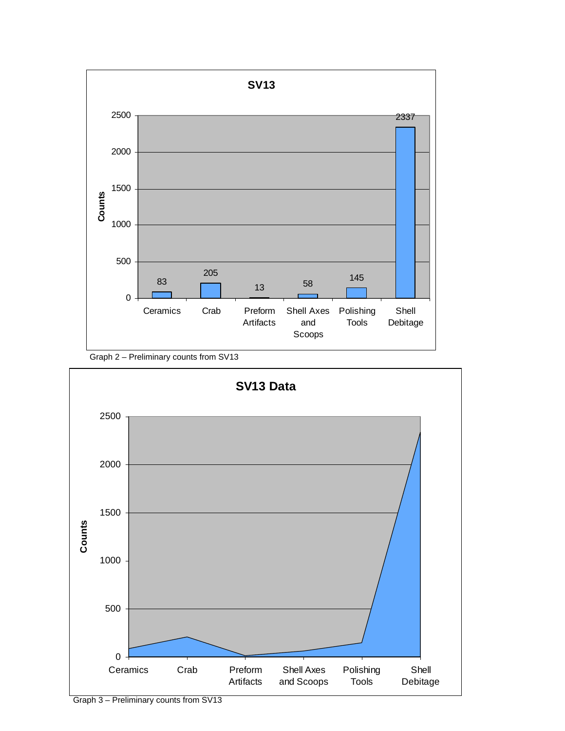